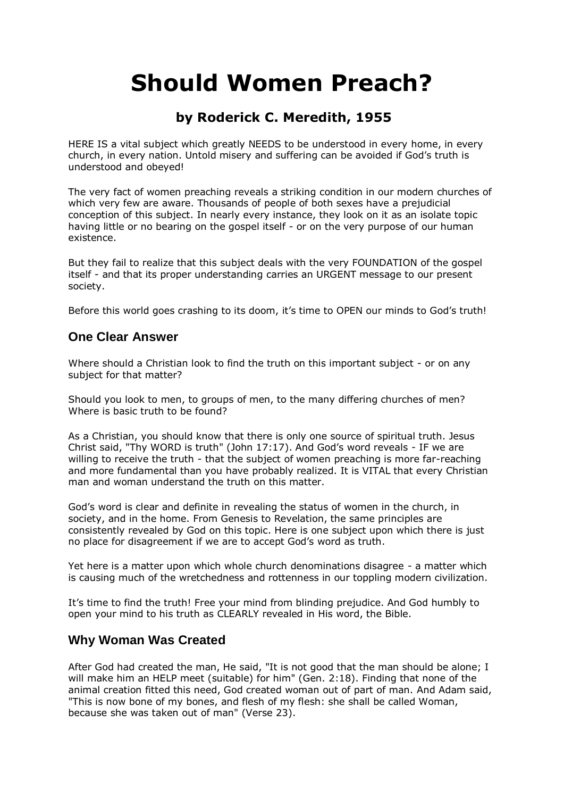# **Should Women Preach?**

## **by Roderick C. Meredith, 1955**

HERE IS a vital subject which greatly NEEDS to be understood in every home, in every church, in every nation. Untold misery and suffering can be avoided if God's truth is understood and obeyed!

The very fact of women preaching reveals a striking condition in our modern churches of which very few are aware. Thousands of people of both sexes have a prejudicial conception of this subject. In nearly every instance, they look on it as an isolate topic having little or no bearing on the gospel itself - or on the very purpose of our human existence.

But they fail to realize that this subject deals with the very FOUNDATION of the gospel itself - and that its proper understanding carries an URGENT message to our present society.

Before this world goes crashing to its doom, it's time to OPEN our minds to God's truth!

## **One Clear Answer**

Where should a Christian look to find the truth on this important subject - or on any subject for that matter?

Should you look to men, to groups of men, to the many differing churches of men? Where is basic truth to be found?

As a Christian, you should know that there is only one source of spiritual truth. Jesus Christ said, "Thy WORD is truth" (John 17:17). And God's word reveals - IF we are willing to receive the truth - that the subject of women preaching is more far-reaching and more fundamental than you have probably realized. It is VITAL that every Christian man and woman understand the truth on this matter.

God's word is clear and definite in revealing the status of women in the church, in society, and in the home. From Genesis to Revelation, the same principles are consistently revealed by God on this topic. Here is one subject upon which there is just no place for disagreement if we are to accept God's word as truth.

Yet here is a matter upon which whole church denominations disagree - a matter which is causing much of the wretchedness and rottenness in our toppling modern civilization.

It's time to find the truth! Free your mind from blinding prejudice. And God humbly to open your mind to his truth as CLEARLY revealed in His word, the Bible.

## **Why Woman Was Created**

After God had created the man, He said, "It is not good that the man should be alone; I will make him an HELP meet (suitable) for him" (Gen. 2:18). Finding that none of the animal creation fitted this need, God created woman out of part of man. And Adam said, "This is now bone of my bones, and flesh of my flesh: she shall be called Woman, because she was taken out of man" (Verse 23).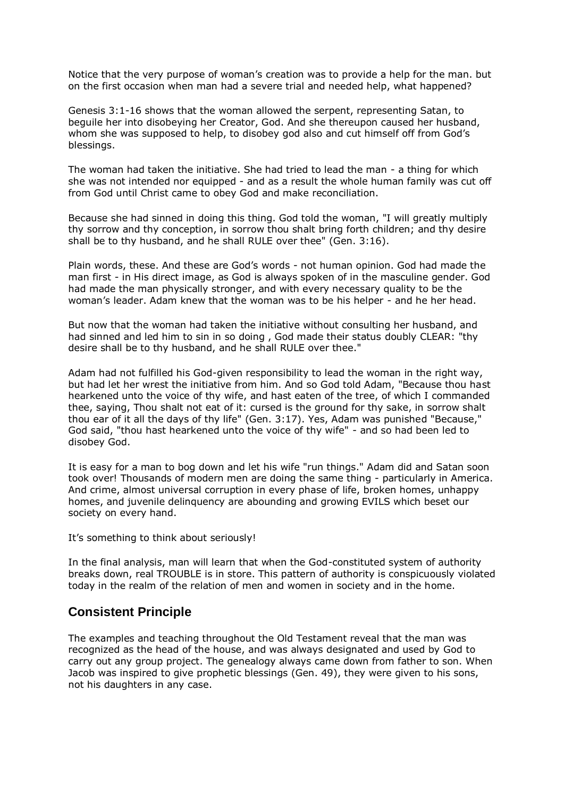Notice that the very purpose of woman's creation was to provide a help for the man. but on the first occasion when man had a severe trial and needed help, what happened?

Genesis 3:1-16 shows that the woman allowed the serpent, representing Satan, to beguile her into disobeying her Creator, God. And she thereupon caused her husband, whom she was supposed to help, to disobey god also and cut himself off from God's blessings.

The woman had taken the initiative. She had tried to lead the man - a thing for which she was not intended nor equipped - and as a result the whole human family was cut off from God until Christ came to obey God and make reconciliation.

Because she had sinned in doing this thing. God told the woman, "I will greatly multiply thy sorrow and thy conception, in sorrow thou shalt bring forth children; and thy desire shall be to thy husband, and he shall RULE over thee" (Gen. 3:16).

Plain words, these. And these are God's words - not human opinion. God had made the man first - in His direct image, as God is always spoken of in the masculine gender. God had made the man physically stronger, and with every necessary quality to be the woman's leader. Adam knew that the woman was to be his helper - and he her head.

But now that the woman had taken the initiative without consulting her husband, and had sinned and led him to sin in so doing , God made their status doubly CLEAR: "thy desire shall be to thy husband, and he shall RULE over thee."

Adam had not fulfilled his God-given responsibility to lead the woman in the right way, but had let her wrest the initiative from him. And so God told Adam, "Because thou hast hearkened unto the voice of thy wife, and hast eaten of the tree, of which I commanded thee, saying, Thou shalt not eat of it: cursed is the ground for thy sake, in sorrow shalt thou ear of it all the days of thy life" (Gen. 3:17). Yes, Adam was punished "Because," God said, "thou hast hearkened unto the voice of thy wife" - and so had been led to disobey God.

It is easy for a man to bog down and let his wife "run things." Adam did and Satan soon took over! Thousands of modern men are doing the same thing - particularly in America. And crime, almost universal corruption in every phase of life, broken homes, unhappy homes, and juvenile delinquency are abounding and growing EVILS which beset our society on every hand.

It's something to think about seriously!

In the final analysis, man will learn that when the God-constituted system of authority breaks down, real TROUBLE is in store. This pattern of authority is conspicuously violated today in the realm of the relation of men and women in society and in the home.

#### **Consistent Principle**

The examples and teaching throughout the Old Testament reveal that the man was recognized as the head of the house, and was always designated and used by God to carry out any group project. The genealogy always came down from father to son. When Jacob was inspired to give prophetic blessings (Gen. 49), they were given to his sons, not his daughters in any case.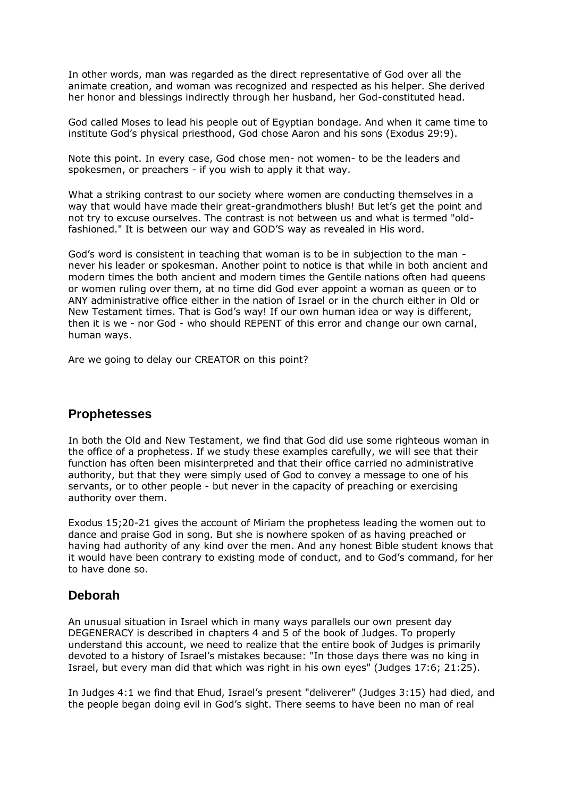In other words, man was regarded as the direct representative of God over all the animate creation, and woman was recognized and respected as his helper. She derived her honor and blessings indirectly through her husband, her God-constituted head.

God called Moses to lead his people out of Egyptian bondage. And when it came time to institute God's physical priesthood, God chose Aaron and his sons (Exodus 29:9).

Note this point. In every case, God chose men- not women- to be the leaders and spokesmen, or preachers - if you wish to apply it that way.

What a striking contrast to our society where women are conducting themselves in a way that would have made their great-grandmothers blush! But let's get the point and not try to excuse ourselves. The contrast is not between us and what is termed "oldfashioned." It is between our way and GOD'S way as revealed in His word.

God's word is consistent in teaching that woman is to be in subjection to the man never his leader or spokesman. Another point to notice is that while in both ancient and modern times the both ancient and modern times the Gentile nations often had queens or women ruling over them, at no time did God ever appoint a woman as queen or to ANY administrative office either in the nation of Israel or in the church either in Old or New Testament times. That is God's way! If our own human idea or way is different, then it is we - nor God - who should REPENT of this error and change our own carnal, human ways.

Are we going to delay our CREATOR on this point?

#### **Prophetesses**

In both the Old and New Testament, we find that God did use some righteous woman in the office of a prophetess. If we study these examples carefully, we will see that their function has often been misinterpreted and that their office carried no administrative authority, but that they were simply used of God to convey a message to one of his servants, or to other people - but never in the capacity of preaching or exercising authority over them.

Exodus 15;20-21 gives the account of Miriam the prophetess leading the women out to dance and praise God in song. But she is nowhere spoken of as having preached or having had authority of any kind over the men. And any honest Bible student knows that it would have been contrary to existing mode of conduct, and to God's command, for her to have done so.

#### **Deborah**

An unusual situation in Israel which in many ways parallels our own present day DEGENERACY is described in chapters 4 and 5 of the book of Judges. To properly understand this account, we need to realize that the entire book of Judges is primarily devoted to a history of Israel's mistakes because: "In those days there was no king in Israel, but every man did that which was right in his own eyes" (Judges 17:6; 21:25).

In Judges 4:1 we find that Ehud, Israel's present "deliverer" (Judges 3:15) had died, and the people began doing evil in God's sight. There seems to have been no man of real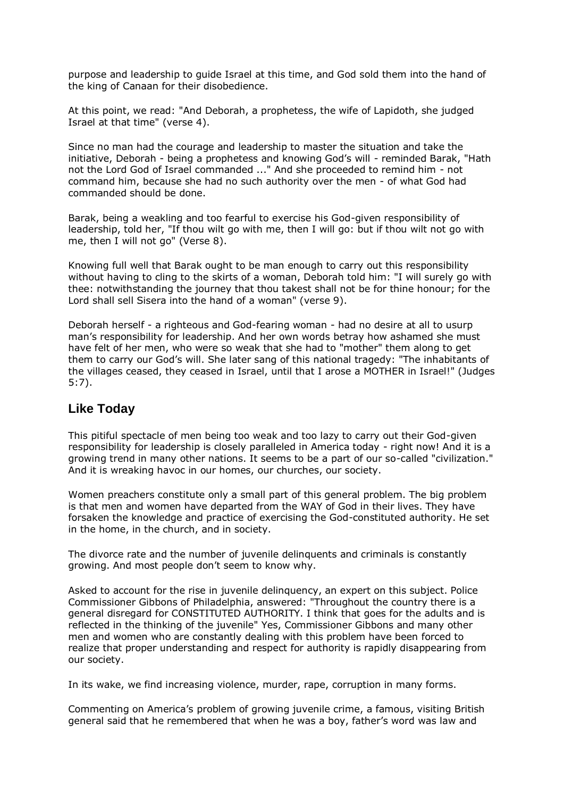purpose and leadership to guide Israel at this time, and God sold them into the hand of the king of Canaan for their disobedience.

At this point, we read: "And Deborah, a prophetess, the wife of Lapidoth, she judged Israel at that time" (verse 4).

Since no man had the courage and leadership to master the situation and take the initiative, Deborah - being a prophetess and knowing God's will - reminded Barak, "Hath not the Lord God of Israel commanded ..." And she proceeded to remind him - not command him, because she had no such authority over the men - of what God had commanded should be done.

Barak, being a weakling and too fearful to exercise his God-given responsibility of leadership, told her, "If thou wilt go with me, then I will go: but if thou wilt not go with me, then I will not go" (Verse 8).

Knowing full well that Barak ought to be man enough to carry out this responsibility without having to cling to the skirts of a woman, Deborah told him: "I will surely go with thee: notwithstanding the journey that thou takest shall not be for thine honour; for the Lord shall sell Sisera into the hand of a woman" (verse 9).

Deborah herself - a righteous and God-fearing woman - had no desire at all to usurp man's responsibility for leadership. And her own words betray how ashamed she must have felt of her men, who were so weak that she had to "mother" them along to get them to carry our God's will. She later sang of this national tragedy: "The inhabitants of the villages ceased, they ceased in Israel, until that I arose a MOTHER in Israel!" (Judges 5:7).

## **Like Today**

This pitiful spectacle of men being too weak and too lazy to carry out their God-given responsibility for leadership is closely paralleled in America today - right now! And it is a growing trend in many other nations. It seems to be a part of our so-called "civilization." And it is wreaking havoc in our homes, our churches, our society.

Women preachers constitute only a small part of this general problem. The big problem is that men and women have departed from the WAY of God in their lives. They have forsaken the knowledge and practice of exercising the God-constituted authority. He set in the home, in the church, and in society.

The divorce rate and the number of juvenile delinquents and criminals is constantly growing. And most people don't seem to know why.

Asked to account for the rise in juvenile delinquency, an expert on this subject. Police Commissioner Gibbons of Philadelphia, answered: "Throughout the country there is a general disregard for CONSTITUTED AUTHORITY. I think that goes for the adults and is reflected in the thinking of the juvenile" Yes, Commissioner Gibbons and many other men and women who are constantly dealing with this problem have been forced to realize that proper understanding and respect for authority is rapidly disappearing from our society.

In its wake, we find increasing violence, murder, rape, corruption in many forms.

Commenting on America's problem of growing juvenile crime, a famous, visiting British general said that he remembered that when he was a boy, father's word was law and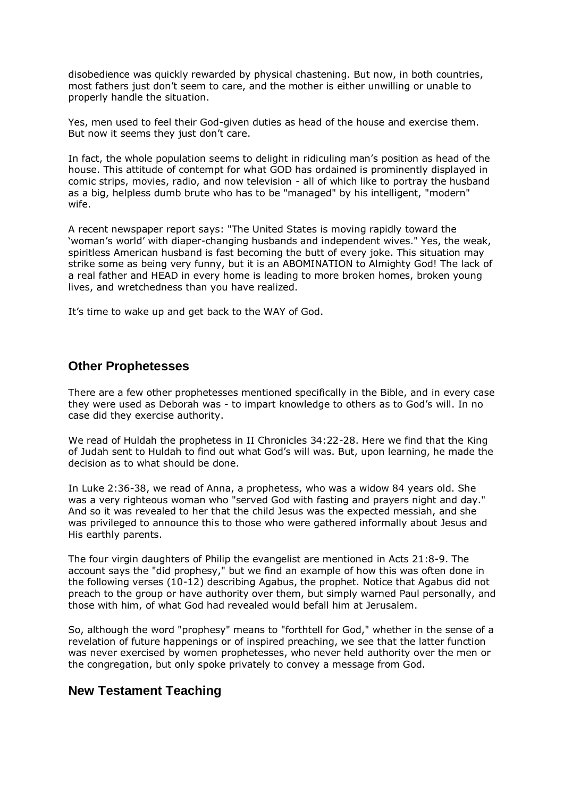disobedience was quickly rewarded by physical chastening. But now, in both countries, most fathers just don't seem to care, and the mother is either unwilling or unable to properly handle the situation.

Yes, men used to feel their God-given duties as head of the house and exercise them. But now it seems they just don't care.

In fact, the whole population seems to delight in ridiculing man's position as head of the house. This attitude of contempt for what GOD has ordained is prominently displayed in comic strips, movies, radio, and now television - all of which like to portray the husband as a big, helpless dumb brute who has to be "managed" by his intelligent, "modern" wife.

A recent newspaper report says: "The United States is moving rapidly toward the 'woman's world' with diaper-changing husbands and independent wives." Yes, the weak, spiritless American husband is fast becoming the butt of every joke. This situation may strike some as being very funny, but it is an ABOMINATION to Almighty God! The lack of a real father and HEAD in every home is leading to more broken homes, broken young lives, and wretchedness than you have realized.

It's time to wake up and get back to the WAY of God.

#### **Other Prophetesses**

There are a few other prophetesses mentioned specifically in the Bible, and in every case they were used as Deborah was - to impart knowledge to others as to God's will. In no case did they exercise authority.

We read of Huldah the prophetess in II Chronicles 34:22-28. Here we find that the King of Judah sent to Huldah to find out what God's will was. But, upon learning, he made the decision as to what should be done.

In Luke 2:36-38, we read of Anna, a prophetess, who was a widow 84 years old. She was a very righteous woman who "served God with fasting and prayers night and day." And so it was revealed to her that the child Jesus was the expected messiah, and she was privileged to announce this to those who were gathered informally about Jesus and His earthly parents.

The four virgin daughters of Philip the evangelist are mentioned in Acts 21:8-9. The account says the "did prophesy," but we find an example of how this was often done in the following verses (10-12) describing Agabus, the prophet. Notice that Agabus did not preach to the group or have authority over them, but simply warned Paul personally, and those with him, of what God had revealed would befall him at Jerusalem.

So, although the word "prophesy" means to "forthtell for God," whether in the sense of a revelation of future happenings or of inspired preaching, we see that the latter function was never exercised by women prophetesses, who never held authority over the men or the congregation, but only spoke privately to convey a message from God.

## **New Testament Teaching**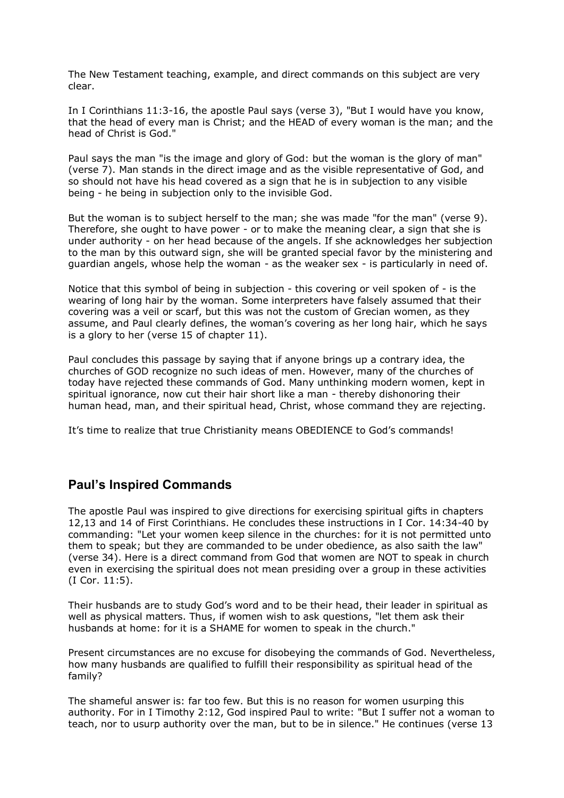The New Testament teaching, example, and direct commands on this subject are very clear.

In I Corinthians 11:3-16, the apostle Paul says (verse 3), "But I would have you know, that the head of every man is Christ; and the HEAD of every woman is the man; and the head of Christ is God."

Paul says the man "is the image and glory of God: but the woman is the glory of man" (verse 7). Man stands in the direct image and as the visible representative of God, and so should not have his head covered as a sign that he is in subjection to any visible being - he being in subjection only to the invisible God.

But the woman is to subject herself to the man; she was made "for the man" (verse 9). Therefore, she ought to have power - or to make the meaning clear, a sign that she is under authority - on her head because of the angels. If she acknowledges her subjection to the man by this outward sign, she will be granted special favor by the ministering and guardian angels, whose help the woman - as the weaker sex - is particularly in need of.

Notice that this symbol of being in subjection - this covering or veil spoken of - is the wearing of long hair by the woman. Some interpreters have falsely assumed that their covering was a veil or scarf, but this was not the custom of Grecian women, as they assume, and Paul clearly defines, the woman's covering as her long hair, which he says is a glory to her (verse 15 of chapter 11).

Paul concludes this passage by saying that if anyone brings up a contrary idea, the churches of GOD recognize no such ideas of men. However, many of the churches of today have rejected these commands of God. Many unthinking modern women, kept in spiritual ignorance, now cut their hair short like a man - thereby dishonoring their human head, man, and their spiritual head, Christ, whose command they are rejecting.

It's time to realize that true Christianity means OBEDIENCE to God's commands!

## **Paul's Inspired Commands**

The apostle Paul was inspired to give directions for exercising spiritual gifts in chapters 12,13 and 14 of First Corinthians. He concludes these instructions in I Cor. 14:34-40 by commanding: "Let your women keep silence in the churches: for it is not permitted unto them to speak; but they are commanded to be under obedience, as also saith the law" (verse 34). Here is a direct command from God that women are NOT to speak in church even in exercising the spiritual does not mean presiding over a group in these activities (I Cor. 11:5).

Their husbands are to study God's word and to be their head, their leader in spiritual as well as physical matters. Thus, if women wish to ask questions, "let them ask their husbands at home: for it is a SHAME for women to speak in the church."

Present circumstances are no excuse for disobeying the commands of God. Nevertheless, how many husbands are qualified to fulfill their responsibility as spiritual head of the family?

The shameful answer is: far too few. But this is no reason for women usurping this authority. For in I Timothy 2:12, God inspired Paul to write: "But I suffer not a woman to teach, nor to usurp authority over the man, but to be in silence." He continues (verse 13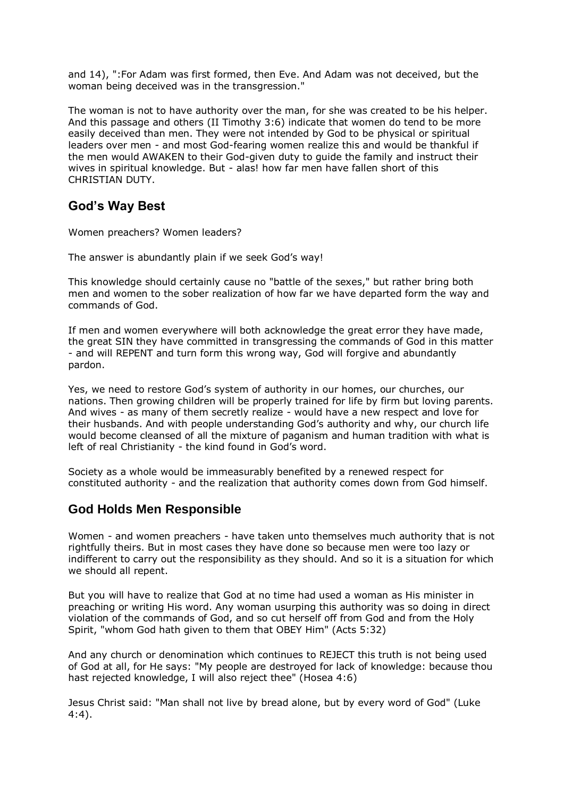and 14), ":For Adam was first formed, then Eve. And Adam was not deceived, but the woman being deceived was in the transgression."

The woman is not to have authority over the man, for she was created to be his helper. And this passage and others (II Timothy 3:6) indicate that women do tend to be more easily deceived than men. They were not intended by God to be physical or spiritual leaders over men - and most God-fearing women realize this and would be thankful if the men would AWAKEN to their God-given duty to guide the family and instruct their wives in spiritual knowledge. But - alas! how far men have fallen short of this CHRISTIAN DUTY.

## **God's Way Best**

Women preachers? Women leaders?

The answer is abundantly plain if we seek God's way!

This knowledge should certainly cause no "battle of the sexes," but rather bring both men and women to the sober realization of how far we have departed form the way and commands of God.

If men and women everywhere will both acknowledge the great error they have made, the great SIN they have committed in transgressing the commands of God in this matter - and will REPENT and turn form this wrong way, God will forgive and abundantly pardon.

Yes, we need to restore God's system of authority in our homes, our churches, our nations. Then growing children will be properly trained for life by firm but loving parents. And wives - as many of them secretly realize - would have a new respect and love for their husbands. And with people understanding God's authority and why, our church life would become cleansed of all the mixture of paganism and human tradition with what is left of real Christianity - the kind found in God's word.

Society as a whole would be immeasurably benefited by a renewed respect for constituted authority - and the realization that authority comes down from God himself.

## **God Holds Men Responsible**

Women - and women preachers - have taken unto themselves much authority that is not rightfully theirs. But in most cases they have done so because men were too lazy or indifferent to carry out the responsibility as they should. And so it is a situation for which we should all repent.

But you will have to realize that God at no time had used a woman as His minister in preaching or writing His word. Any woman usurping this authority was so doing in direct violation of the commands of God, and so cut herself off from God and from the Holy Spirit, "whom God hath given to them that OBEY Him" (Acts 5:32)

And any church or denomination which continues to REJECT this truth is not being used of God at all, for He says: "My people are destroyed for lack of knowledge: because thou hast rejected knowledge, I will also reject thee" (Hosea 4:6)

Jesus Christ said: "Man shall not live by bread alone, but by every word of God" (Luke 4:4).